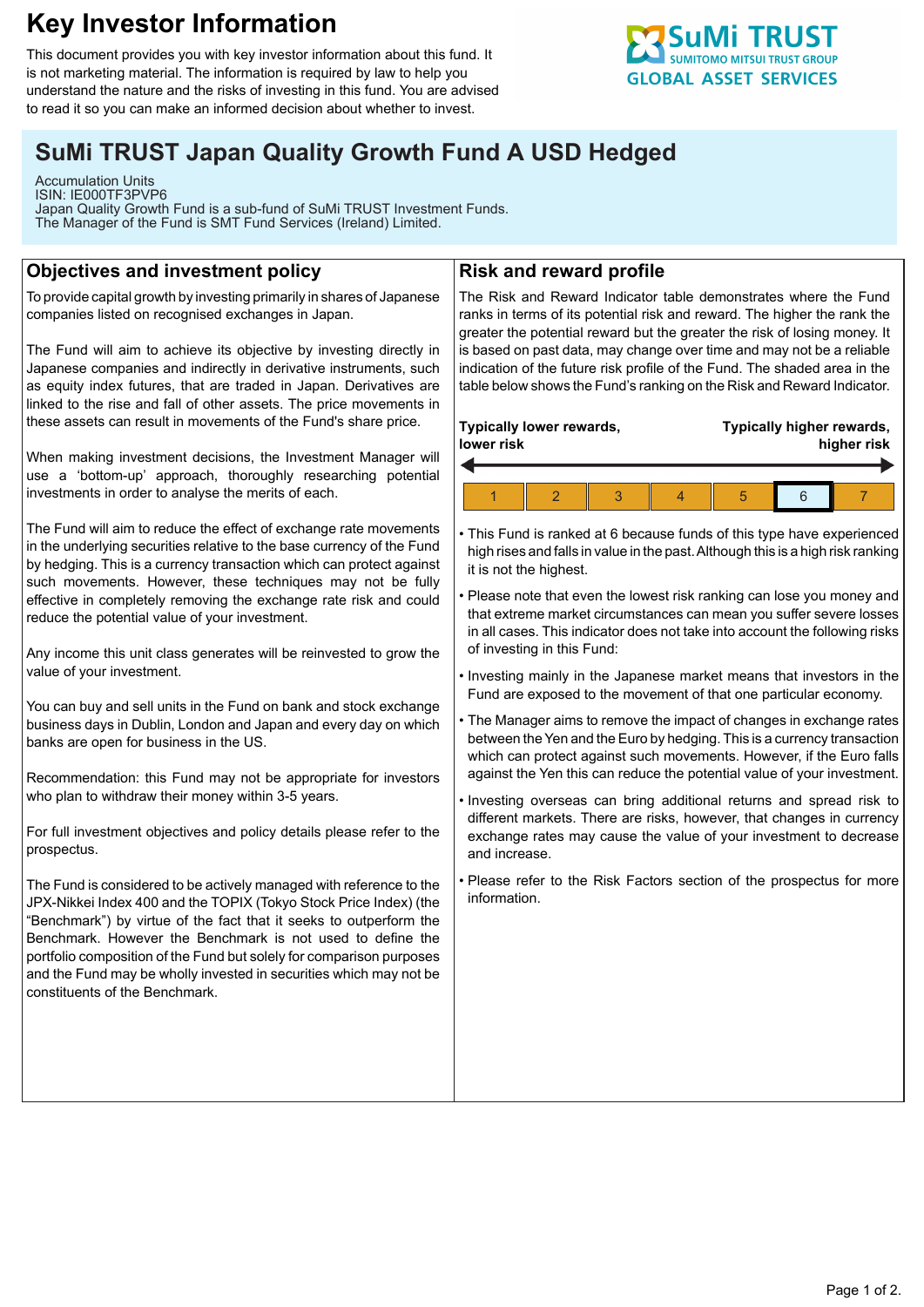# **Key Investor Information**

This document provides you with key investor information about this fund. It is not marketing material. The information is required by law to help you understand the nature and the risks of investing in this fund. You are advised to read it so you can make an informed decision about whether to invest.

# **SuMi TRUST Japan Quality Growth Fund A USD Hedged**

Accumulation Units ISIN: IE000TF3PVP6 Japan Quality Growth Fund is a sub-fund of SuMi TRUST Investment Funds. The Manager of the Fund is SMT Fund Services (Ireland) Limited.

# **Objectives and investment policy**

To provide capital growth by investing primarily in shares of Japanese companies listed on recognised exchanges in Japan.

The Fund will aim to achieve its objective by investing directly in Japanese companies and indirectly in derivative instruments, such as equity index futures, that are traded in Japan. Derivatives are linked to the rise and fall of other assets. The price movements in these assets can result in movements of the Fund's share price.

When making investment decisions, the Investment Manager will use a 'bottom-up' approach, thoroughly researching potential investments in order to analyse the merits of each.

The Fund will aim to reduce the effect of exchange rate movements in the underlying securities relative to the base currency of the Fund by hedging. This is a currency transaction which can protect against such movements. However, these techniques may not be fully effective in completely removing the exchange rate risk and could reduce the potential value of your investment.

Any income this unit class generates will be reinvested to grow the value of your investment.

You can buy and sell units in the Fund on bank and stock exchange business days in Dublin, London and Japan and every day on which banks are open for business in the US.

Recommendation: this Fund may not be appropriate for investors who plan to withdraw their money within 3-5 years.

For full investment objectives and policy details please refer to the prospectus.

The Fund is considered to be actively managed with reference to the JPX-Nikkei Index 400 and the TOPIX (Tokyo Stock Price Index) (the "Benchmark") by virtue of the fact that it seeks to outperform the Benchmark. However the Benchmark is not used to define the portfolio composition of the Fund but solely for comparison purposes and the Fund may be wholly invested in securities which may not be constituents of the Benchmark.

## **Risk and reward profile**

The Risk and Reward Indicator table demonstrates where the Fund ranks in terms of its potential risk and reward. The higher the rank the greater the potential reward but the greater the risk of losing money. It is based on past data, may change over time and may not be a reliable indication of the future risk profile of the Fund. The shaded area in the table below shows the Fund's ranking on the Risk and Reward Indicator.

#### **Typically lower rewards, lower risk Typically higher rewards, higher risk** 1 2 3 4 5 6 7

• This Fund is ranked at 6 because funds of this type have experienced high rises and falls in value in the past. Although this is a high risk ranking it is not the highest.

• Please note that even the lowest risk ranking can lose you money and that extreme market circumstances can mean you suffer severe losses in all cases. This indicator does not take into account the following risks of investing in this Fund:

• Investing mainly in the Japanese market means that investors in the Fund are exposed to the movement of that one particular economy.

• The Manager aims to remove the impact of changes in exchange rates between the Yen and the Euro by hedging. This is a currency transaction which can protect against such movements. However, if the Euro falls against the Yen this can reduce the potential value of your investment.

• Investing overseas can bring additional returns and spread risk to different markets. There are risks, however, that changes in currency exchange rates may cause the value of your investment to decrease and increase.

• Please refer to the Risk Factors section of the prospectus for more information.